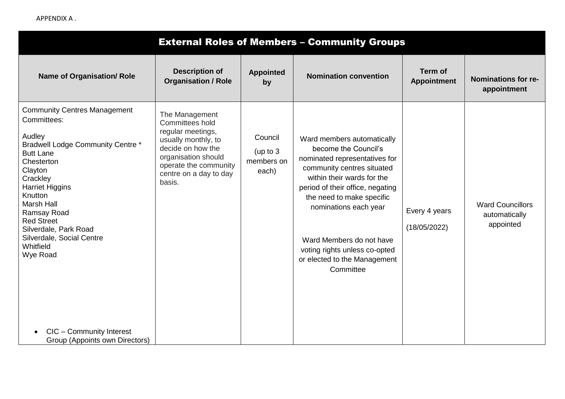APPENDIX A .

| <b>External Roles of Members - Community Groups</b>                                                                                                                                                                                                                                                                                                                                                          |                                                                                                                                                                                        |                                              |                                                                                                                                                                                                                                                                                                                                                     |                                      |                                                       |  |  |  |
|--------------------------------------------------------------------------------------------------------------------------------------------------------------------------------------------------------------------------------------------------------------------------------------------------------------------------------------------------------------------------------------------------------------|----------------------------------------------------------------------------------------------------------------------------------------------------------------------------------------|----------------------------------------------|-----------------------------------------------------------------------------------------------------------------------------------------------------------------------------------------------------------------------------------------------------------------------------------------------------------------------------------------------------|--------------------------------------|-------------------------------------------------------|--|--|--|
| <b>Name of Organisation/ Role</b>                                                                                                                                                                                                                                                                                                                                                                            | <b>Description of</b><br><b>Organisation / Role</b>                                                                                                                                    | <b>Appointed</b><br>by                       | <b>Nomination convention</b>                                                                                                                                                                                                                                                                                                                        | <b>Term of</b><br><b>Appointment</b> | Nominations for re-<br>appointment                    |  |  |  |
| <b>Community Centres Management</b><br>Committees:<br>Audley<br><b>Bradwell Lodge Community Centre *</b><br><b>Butt Lane</b><br>Chesterton<br>Clayton<br>Crackley<br><b>Harriet Higgins</b><br>Knutton<br><b>Marsh Hall</b><br>Ramsay Road<br><b>Red Street</b><br>Silverdale, Park Road<br>Silverdale, Social Centre<br>Whitfield<br>Wye Road<br>CIC - Community Interest<br>Group (Appoints own Directors) | The Management<br>Committees hold<br>regular meetings,<br>usually monthly, to<br>decide on how the<br>organisation should<br>operate the community<br>centre on a day to day<br>basis. | Council<br>(up to $3$<br>members on<br>each) | Ward members automatically<br>become the Council's<br>nominated representatives for<br>community centres situated<br>within their wards for the<br>period of their office, negating<br>the need to make specific<br>nominations each year<br>Ward Members do not have<br>voting rights unless co-opted<br>or elected to the Management<br>Committee | Every 4 years<br>(18/05/2022)        | <b>Ward Councillors</b><br>automatically<br>appointed |  |  |  |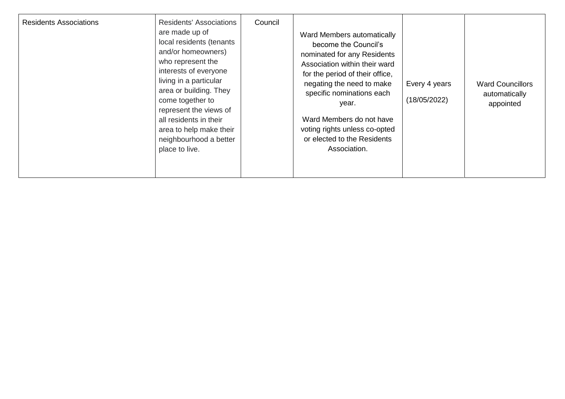| <b>Residents' Associations</b><br><b>Residents Associations</b><br>are made up of<br>local residents (tenants<br>and/or homeowners)<br>who represent the<br>interests of everyone<br>living in a particular<br>area or building. They<br>come together to<br>represent the views of<br>all residents in their<br>area to help make their<br>neighbourhood a better<br>place to live. | Council | Ward Members automatically<br>become the Council's<br>nominated for any Residents<br>Association within their ward<br>for the period of their office,<br>negating the need to make<br>specific nominations each<br>year.<br>Ward Members do not have<br>voting rights unless co-opted<br>or elected to the Residents<br>Association. | Every 4 years<br>(18/05/2022) | <b>Ward Councillors</b><br>automatically<br>appointed |
|--------------------------------------------------------------------------------------------------------------------------------------------------------------------------------------------------------------------------------------------------------------------------------------------------------------------------------------------------------------------------------------|---------|--------------------------------------------------------------------------------------------------------------------------------------------------------------------------------------------------------------------------------------------------------------------------------------------------------------------------------------|-------------------------------|-------------------------------------------------------|
|--------------------------------------------------------------------------------------------------------------------------------------------------------------------------------------------------------------------------------------------------------------------------------------------------------------------------------------------------------------------------------------|---------|--------------------------------------------------------------------------------------------------------------------------------------------------------------------------------------------------------------------------------------------------------------------------------------------------------------------------------------|-------------------------------|-------------------------------------------------------|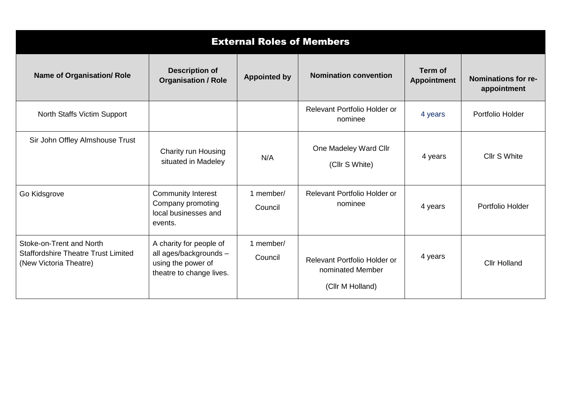| <b>External Roles of Members</b>                                                                 |                                                                                                     |                      |                                                                      |                               |                                           |  |  |
|--------------------------------------------------------------------------------------------------|-----------------------------------------------------------------------------------------------------|----------------------|----------------------------------------------------------------------|-------------------------------|-------------------------------------------|--|--|
| <b>Name of Organisation/ Role</b>                                                                | <b>Description of</b><br><b>Organisation / Role</b>                                                 | <b>Appointed by</b>  | <b>Nomination convention</b>                                         | Term of<br><b>Appointment</b> | <b>Nominations for re-</b><br>appointment |  |  |
| <b>North Staffs Victim Support</b>                                                               |                                                                                                     |                      | Relevant Portfolio Holder or<br>nominee                              | 4 years                       | Portfolio Holder                          |  |  |
| Sir John Offley Almshouse Trust                                                                  | Charity run Housing<br>situated in Madeley                                                          | N/A                  | One Madeley Ward Cllr<br>(Cllr S White)                              | 4 years                       | Cllr S White                              |  |  |
| Go Kidsgrove                                                                                     | <b>Community Interest</b><br>Company promoting<br>local businesses and<br>events.                   | 1 member/<br>Council | Relevant Portfolio Holder or<br>nominee                              | 4 years                       | Portfolio Holder                          |  |  |
| Stoke-on-Trent and North<br><b>Staffordshire Theatre Trust Limited</b><br>(New Victoria Theatre) | A charity for people of<br>all ages/backgrounds -<br>using the power of<br>theatre to change lives. | 1 member/<br>Council | Relevant Portfolio Holder or<br>nominated Member<br>(Cllr M Holland) | 4 years                       | <b>Cllr Holland</b>                       |  |  |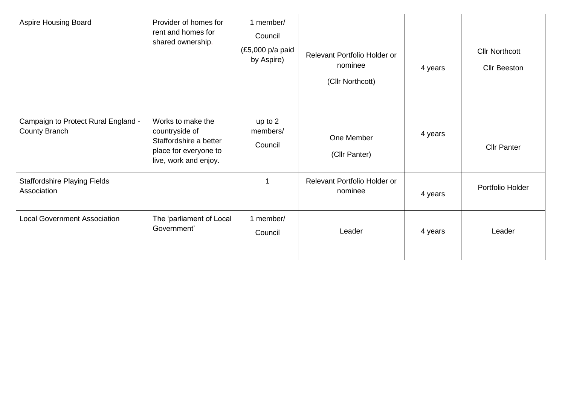| <b>Aspire Housing Board</b>                                 | Provider of homes for<br>rent and homes for<br>shared ownership.                                                | 1 member/<br>Council<br>(£5,000 p/a paid<br>by Aspire) | Relevant Portfolio Holder or<br>nominee<br>(Cllr Northcott) | 4 years | <b>Cllr Northcott</b><br><b>Cllr Beeston</b> |
|-------------------------------------------------------------|-----------------------------------------------------------------------------------------------------------------|--------------------------------------------------------|-------------------------------------------------------------|---------|----------------------------------------------|
| Campaign to Protect Rural England -<br><b>County Branch</b> | Works to make the<br>countryside of<br>Staffordshire a better<br>place for everyone to<br>live, work and enjoy. | up to $2$<br>members/<br>Council                       | One Member<br>(Cllr Panter)                                 | 4 years | <b>Cllr Panter</b>                           |
| <b>Staffordshire Playing Fields</b><br>Association          |                                                                                                                 |                                                        | Relevant Portfolio Holder or<br>nominee                     | 4 years | Portfolio Holder                             |
| <b>Local Government Association</b>                         | The 'parliament of Local<br>Government'                                                                         | 1 member/<br>Council                                   | Leader                                                      | 4 years | Leader                                       |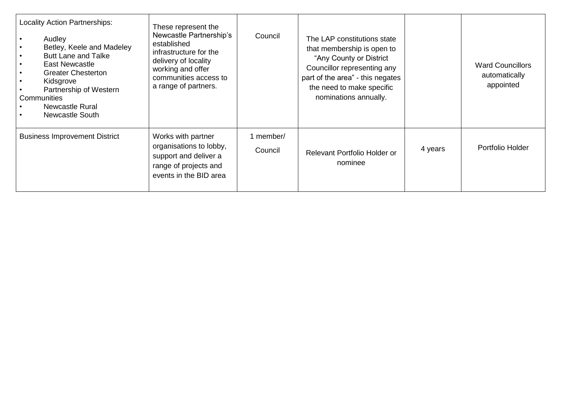| <b>Locality Action Partnerships:</b><br>Audley<br>Betley, Keele and Madeley<br><b>Butt Lane and Talke</b><br>East Newcastle<br><b>Greater Chesterton</b><br>Kidsgrove<br>Partnership of Western<br>Communities<br><b>Newcastle Rural</b><br><b>Newcastle South</b> | These represent the<br>Newcastle Partnership's<br>established<br>infrastructure for the<br>delivery of locality<br>working and offer<br>communities access to<br>a range of partners. | Council              | The LAP constitutions state<br>that membership is open to<br>"Any County or District<br>Councillor representing any<br>part of the area" - this negates<br>the need to make specific<br>nominations annually. |         | <b>Ward Councillors</b><br>automatically<br>appointed |
|--------------------------------------------------------------------------------------------------------------------------------------------------------------------------------------------------------------------------------------------------------------------|---------------------------------------------------------------------------------------------------------------------------------------------------------------------------------------|----------------------|---------------------------------------------------------------------------------------------------------------------------------------------------------------------------------------------------------------|---------|-------------------------------------------------------|
| <b>Business Improvement District</b>                                                                                                                                                                                                                               | Works with partner<br>organisations to lobby,<br>support and deliver a<br>range of projects and<br>events in the BID area                                                             | 1 member/<br>Council | Relevant Portfolio Holder or<br>nominee                                                                                                                                                                       | 4 years | Portfolio Holder                                      |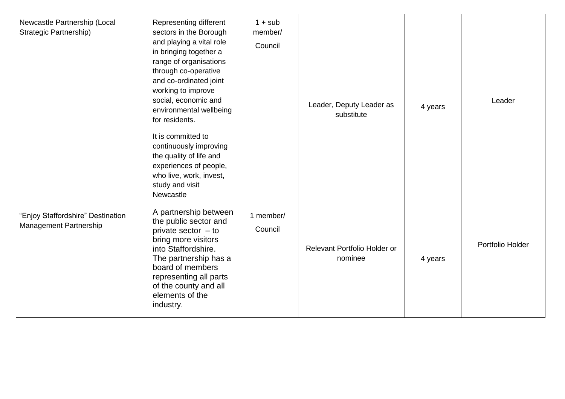| Newcastle Partnership (Local<br><b>Strategic Partnership)</b> | Representing different<br>sectors in the Borough<br>and playing a vital role<br>in bringing together a<br>range of organisations<br>through co-operative<br>and co-ordinated joint<br>working to improve<br>social, economic and<br>environmental wellbeing<br>for residents.<br>It is committed to<br>continuously improving<br>the quality of life and<br>experiences of people,<br>who live, work, invest,<br>study and visit<br>Newcastle | $1 + sub$<br>member/<br>Council | Leader, Deputy Leader as<br>substitute  | 4 years | Leader           |
|---------------------------------------------------------------|-----------------------------------------------------------------------------------------------------------------------------------------------------------------------------------------------------------------------------------------------------------------------------------------------------------------------------------------------------------------------------------------------------------------------------------------------|---------------------------------|-----------------------------------------|---------|------------------|
| "Enjoy Staffordshire" Destination<br>Management Partnership   | A partnership between<br>the public sector and<br>private sector $-$ to<br>bring more visitors<br>into Staffordshire.<br>The partnership has a<br>board of members<br>representing all parts<br>of the county and all<br>elements of the<br>industry.                                                                                                                                                                                         | 1 member/<br>Council            | Relevant Portfolio Holder or<br>nominee | 4 years | Portfolio Holder |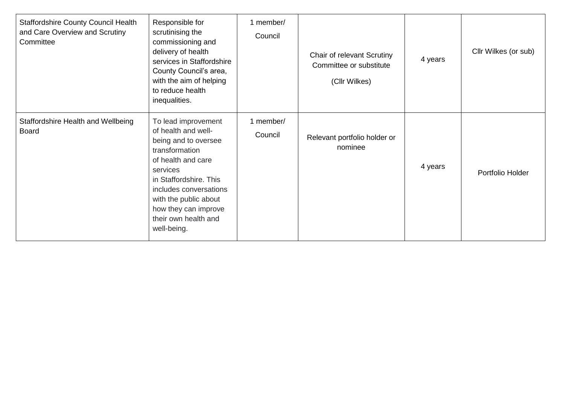| <b>Staffordshire County Council Health</b><br>and Care Overview and Scrutiny<br>Committee | Responsible for<br>scrutinising the<br>commissioning and<br>delivery of health<br>services in Staffordshire<br>County Council's area,<br>with the aim of helping<br>to reduce health<br>inequalities.                                                              | 1 member/<br>Council | Chair of relevant Scrutiny<br>Committee or substitute<br>(Cllr Wilkes) | 4 years | Cllr Wilkes (or sub) |
|-------------------------------------------------------------------------------------------|--------------------------------------------------------------------------------------------------------------------------------------------------------------------------------------------------------------------------------------------------------------------|----------------------|------------------------------------------------------------------------|---------|----------------------|
| Staffordshire Health and Wellbeing<br><b>Board</b>                                        | To lead improvement<br>of health and well-<br>being and to oversee<br>transformation<br>of health and care<br>services<br>in Staffordshire. This<br>includes conversations<br>with the public about<br>how they can improve<br>their own health and<br>well-being. | 1 member/<br>Council | Relevant portfolio holder or<br>nominee                                | 4 years | Portfolio Holder     |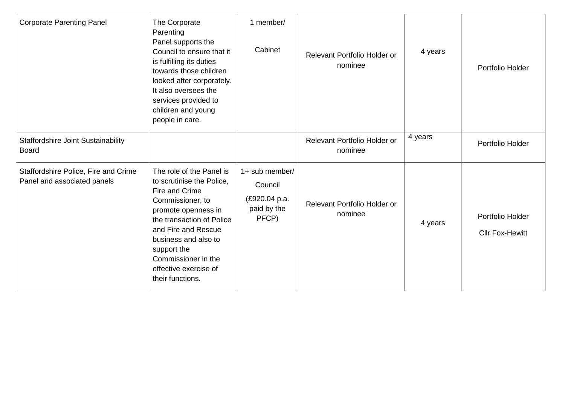| <b>Corporate Parenting Panel</b>                                    | The Corporate<br>Parenting<br>Panel supports the<br>Council to ensure that it<br>is fulfilling its duties<br>towards those children<br>looked after corporately.<br>It also oversees the<br>services provided to<br>children and young<br>people in care.                         | 1 member/<br>Cabinet                                               | Relevant Portfolio Holder or<br>nominee | 4 years | Portfolio Holder                           |
|---------------------------------------------------------------------|-----------------------------------------------------------------------------------------------------------------------------------------------------------------------------------------------------------------------------------------------------------------------------------|--------------------------------------------------------------------|-----------------------------------------|---------|--------------------------------------------|
| <b>Staffordshire Joint Sustainability</b><br><b>Board</b>           |                                                                                                                                                                                                                                                                                   |                                                                    | Relevant Portfolio Holder or<br>nominee | 4 years | Portfolio Holder                           |
| Staffordshire Police, Fire and Crime<br>Panel and associated panels | The role of the Panel is<br>to scrutinise the Police,<br>Fire and Crime<br>Commissioner, to<br>promote openness in<br>the transaction of Police<br>and Fire and Rescue<br>business and also to<br>support the<br>Commissioner in the<br>effective exercise of<br>their functions. | 1+ sub member/<br>Council<br>(£920.04 p.a.<br>paid by the<br>PFCP) | Relevant Portfolio Holder or<br>nominee | 4 years | Portfolio Holder<br><b>Cllr Fox-Hewitt</b> |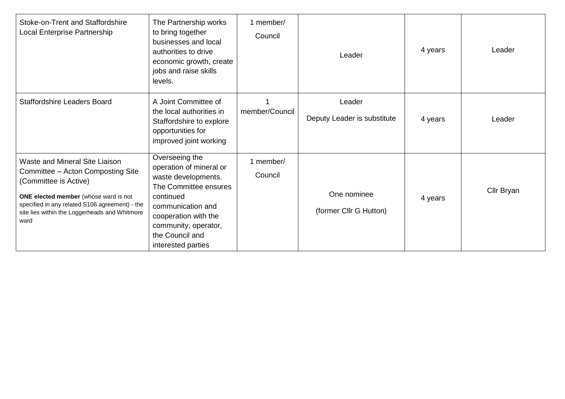| Stoke-on-Trent and Staffordshire<br>Local Enterprise Partnership                                                                                                                                                                                 | The Partnership works<br>to bring together<br>businesses and local<br>authorities to drive<br>economic growth, create<br>jobs and raise skills<br>levels.                                                            | 1 member/<br>Council | Leader                                | 4 years | Leader     |
|--------------------------------------------------------------------------------------------------------------------------------------------------------------------------------------------------------------------------------------------------|----------------------------------------------------------------------------------------------------------------------------------------------------------------------------------------------------------------------|----------------------|---------------------------------------|---------|------------|
| <b>Staffordshire Leaders Board</b>                                                                                                                                                                                                               | A Joint Committee of<br>the local authorities in<br>Staffordshire to explore<br>opportunities for<br>improved joint working                                                                                          | member/Council       | Leader<br>Deputy Leader is substitute | 4 years | Leader     |
| Waste and Mineral Site Liaison<br>Committee - Acton Composting Site<br>(Committee is Active)<br>ONE elected member (whose ward is not<br>specified in any related S106 agreement) - the<br>site lies within the Loggerheads and Whitmore<br>ward | Overseeing the<br>operation of mineral or<br>waste developments.<br>The Committee ensures<br>continued<br>communication and<br>cooperation with the<br>community, operator,<br>the Council and<br>interested parties | 1 member/<br>Council | One nominee<br>(former Cllr G Hutton) | 4 years | Cllr Bryan |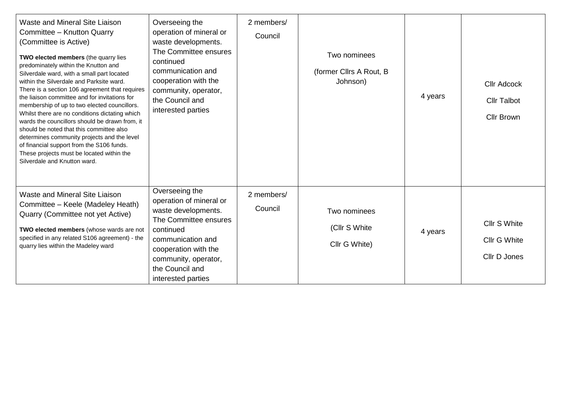| Waste and Mineral Site Liaison<br>Committee - Knutton Quarry<br>(Committee is Active)<br>TWO elected members (the quarry lies<br>predominately within the Knutton and<br>Silverdale ward, with a small part located<br>within the Silverdale and Parksite ward.<br>There is a section 106 agreement that requires<br>the liaison committee and for invitations for<br>membership of up to two elected councillors.<br>Whilst there are no conditions dictating which<br>wards the councillors should be drawn from, it<br>should be noted that this committee also<br>determines community projects and the level<br>of financial support from the S106 funds.<br>These projects must be located within the<br>Silverdale and Knutton ward. | Overseeing the<br>operation of mineral or<br>waste developments.<br>The Committee ensures<br>continued<br>communication and<br>cooperation with the<br>community, operator,<br>the Council and<br>interested parties | 2 members/<br>Council | Two nominees<br>(former Cllrs A Rout, B<br>Johnson) | 4 years | <b>Cllr Adcock</b><br><b>Cllr Talbot</b><br><b>Cllr Brown</b> |
|---------------------------------------------------------------------------------------------------------------------------------------------------------------------------------------------------------------------------------------------------------------------------------------------------------------------------------------------------------------------------------------------------------------------------------------------------------------------------------------------------------------------------------------------------------------------------------------------------------------------------------------------------------------------------------------------------------------------------------------------|----------------------------------------------------------------------------------------------------------------------------------------------------------------------------------------------------------------------|-----------------------|-----------------------------------------------------|---------|---------------------------------------------------------------|
| Waste and Mineral Site Liaison<br>Committee - Keele (Madeley Heath)<br>Quarry (Committee not yet Active)<br>TWO elected members (whose wards are not<br>specified in any related S106 agreement) - the<br>quarry lies within the Madeley ward                                                                                                                                                                                                                                                                                                                                                                                                                                                                                               | Overseeing the<br>operation of mineral or<br>waste developments.<br>The Committee ensures<br>continued<br>communication and<br>cooperation with the<br>community, operator,<br>the Council and<br>interested parties | 2 members/<br>Council | Two nominees<br>(Cllr S White)<br>Cllr G White)     | 4 years | Cllr S White<br>Cllr G White<br>Cllr D Jones                  |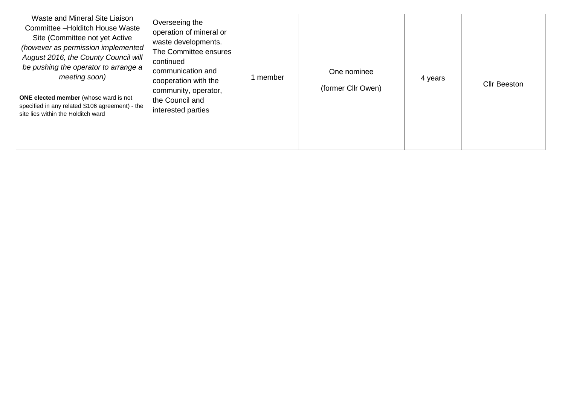| Waste and Mineral Site Liaison<br>Committee -Holditch House Waste<br>Site (Committee not yet Active<br>(however as permission implemented<br>August 2016, the County Council will<br>be pushing the operator to arrange a<br>meeting soon)<br><b>ONE elected member</b> (whose ward is not<br>specified in any related S106 agreement) - the<br>site lies within the Holditch ward | Overseeing the<br>operation of mineral or<br>waste developments.<br>The Committee ensures<br>continued<br>communication and<br>cooperation with the<br>community, operator,<br>the Council and<br>interested parties | 1 member | One nominee<br>(former Cllr Owen) | 4 years | <b>Cllr Beeston</b> |
|------------------------------------------------------------------------------------------------------------------------------------------------------------------------------------------------------------------------------------------------------------------------------------------------------------------------------------------------------------------------------------|----------------------------------------------------------------------------------------------------------------------------------------------------------------------------------------------------------------------|----------|-----------------------------------|---------|---------------------|
|------------------------------------------------------------------------------------------------------------------------------------------------------------------------------------------------------------------------------------------------------------------------------------------------------------------------------------------------------------------------------------|----------------------------------------------------------------------------------------------------------------------------------------------------------------------------------------------------------------------|----------|-----------------------------------|---------|---------------------|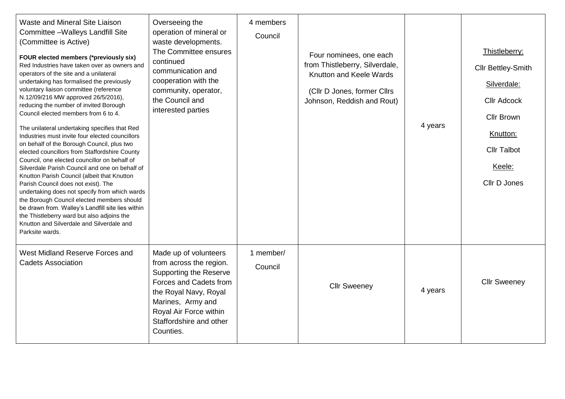| Waste and Mineral Site Liaison<br>Committee - Walleys Landfill Site<br>(Committee is Active)<br>FOUR elected members (*previously six)<br>Red Industries have taken over as owners and<br>operators of the site and a unilateral<br>undertaking has formalised the previously<br>voluntary liaison committee (reference<br>N.12/09/216 MW approved 26/5/2016),<br>reducing the number of invited Borough<br>Council elected members from 6 to 4.<br>The unilateral undertaking specifies that Red<br>Industries must invite four elected councillors<br>on behalf of the Borough Council, plus two<br>elected councillors from Staffordshire County<br>Council, one elected councillor on behalf of<br>Silverdale Parish Council and one on behalf of<br>Knutton Parish Council (albeit that Knutton<br>Parish Council does not exist). The<br>undertaking does not specify from which wards<br>the Borough Council elected members should<br>be drawn from. Walley's Landfill site lies within<br>the Thistleberry ward but also adjoins the<br>Knutton and Silverdale and Silverdale and<br>Parksite wards. | Overseeing the<br>operation of mineral or<br>waste developments.<br>The Committee ensures<br>continued<br>communication and<br>cooperation with the<br>community, operator,<br>the Council and<br>interested parties        | 4 members<br>Council | Four nominees, one each<br>from Thistleberry, Silverdale,<br>Knutton and Keele Wards<br>(Cllr D Jones, former Cllrs<br>Johnson, Reddish and Rout) | 4 years | Thistleberry:<br>Cllr Bettley-Smith<br>Silverdale:<br><b>Cllr Adcock</b><br><b>Cllr Brown</b><br>Knutton:<br><b>Cllr Talbot</b><br>Keele:<br>Cllr D Jones |
|---------------------------------------------------------------------------------------------------------------------------------------------------------------------------------------------------------------------------------------------------------------------------------------------------------------------------------------------------------------------------------------------------------------------------------------------------------------------------------------------------------------------------------------------------------------------------------------------------------------------------------------------------------------------------------------------------------------------------------------------------------------------------------------------------------------------------------------------------------------------------------------------------------------------------------------------------------------------------------------------------------------------------------------------------------------------------------------------------------------|-----------------------------------------------------------------------------------------------------------------------------------------------------------------------------------------------------------------------------|----------------------|---------------------------------------------------------------------------------------------------------------------------------------------------|---------|-----------------------------------------------------------------------------------------------------------------------------------------------------------|
| West Midland Reserve Forces and<br><b>Cadets Association</b>                                                                                                                                                                                                                                                                                                                                                                                                                                                                                                                                                                                                                                                                                                                                                                                                                                                                                                                                                                                                                                                  | Made up of volunteers<br>from across the region.<br><b>Supporting the Reserve</b><br>Forces and Cadets from<br>the Royal Navy, Royal<br>Marines, Army and<br>Royal Air Force within<br>Staffordshire and other<br>Counties. | 1 member/<br>Council | <b>Cllr Sweeney</b>                                                                                                                               | 4 years | <b>Cllr Sweeney</b>                                                                                                                                       |